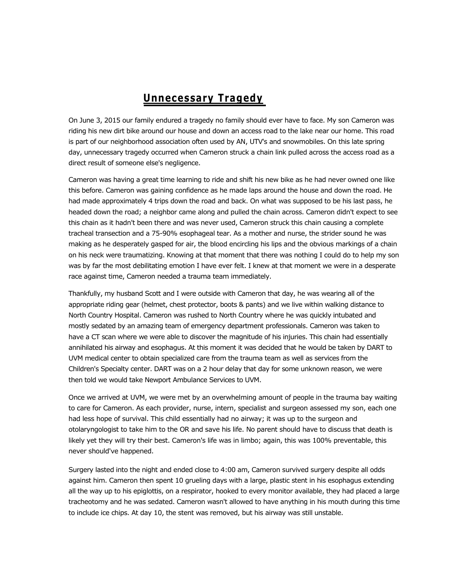## **Unnecessary Tragedy**

On June 3, 2015 our family endured a tragedy no family should ever have to face. My son Cameron was riding his new dirt bike around our house and down an access road to the lake near our home. This road is part of our neighborhood association often used by AN, UTV's and snowmobiles. On this late spring day, unnecessary tragedy occurred when Cameron struck a chain link pulled across the access road as a direct result of someone else's negligence.

Cameron was having a great time learning to ride and shift his new bike as he had never owned one like this before. Cameron was gaining confidence as he made laps around the house and down the road. He had made approximately 4 trips down the road and back. On what was supposed to be his last pass, he headed down the road; a neighbor came along and pulled the chain across. Cameron didn't expect to see this chain as it hadn't been there and was never used, Cameron struck this chain causing a complete tracheal transection and a 75-90% esophageal tear. As a mother and nurse, the strider sound he was making as he desperately gasped for air, the blood encircling his lips and the obvious markings of a chain on his neck were traumatizing. Knowing at that moment that there was nothing I could do to help my son was by far the most debilitating emotion I have ever felt. I knew at that moment we were in a desperate race against time, Cameron needed a trauma team immediately.

Thankfully, my husband Scott and I were outside with Cameron that day, he was wearing all of the appropriate riding gear (helmet, chest protector, boots & pants) and we live within walking distance to North Country Hospital. Cameron was rushed to North Country where he was quickly intubated and mostly sedated by an amazing team of emergency department professionals. Cameron was taken to have a CT scan where we were able to discover the magnitude of his injuries. This chain had essentially annihilated his airway and esophagus. At this moment it was decided that he would be taken by DART to UVM medical center to obtain specialized care from the trauma team as well as services from the Children's Specialty center. DART was on a 2 hour delay that day for some unknown reason, we were then told we would take Newport Ambulance Services to UVM.

Once we arrived at UVM, we were met by an overwhelming amount of people in the trauma bay waiting to care for Cameron. As each provider, nurse, intern, specialist and surgeon assessed my son, each one had less hope of survival. This child essentially had no airway; it was up to the surgeon and otolaryngologist to take him to the OR and save his life. No parent should have to discuss that death is likely yet they will try their best. Cameron's life was in limbo; again, this was 100% preventable, this never should've happened.

Surgery lasted into the night and ended close to 4:00 am, Cameron survived surgery despite all odds against him. Cameron then spent 10 grueling days with a large, plastic stent in his esophagus extending all the way up to his epiglottis, on a respirator, hooked to every monitor available, they had placed a large tracheotomy and he was sedated. Cameron wasn't allowed to have anything in his mouth during this time to include ice chips. At day 10, the stent was removed, but his airway was still unstable.